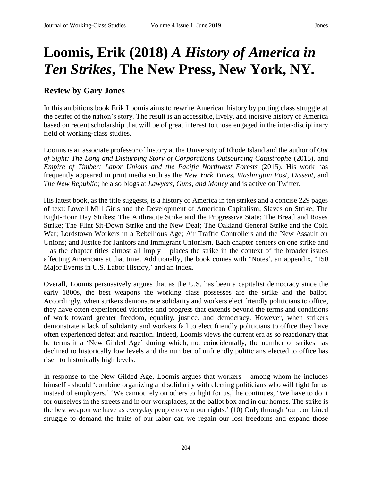## **Loomis, Erik (2018)** *A History of America in Ten Strikes***, The New Press, New York, NY.**

## **Review by Gary Jones**

In this ambitious book Erik Loomis aims to rewrite American history by putting class struggle at the center of the nation's story. The result is an accessible, lively, and incisive history of America based on recent scholarship that will be of great interest to those engaged in the inter-disciplinary field of working-class studies.

Loomis is an associate professor of history at the University of Rhode Island and the author of *Out of Sight: The Long and Disturbing Story of Corporations Outsourcing Catastrophe* (2015), and *Empire of Timber: Labor Unions and the Pacific Northwest Forests* (2015). His work has frequently appeared in print media such as the *New York Times, Washington Post*, *Dissent,* and *The New Republic*; he also blogs at *Lawyers, Guns, and Money* and is active on Twitter.

His latest book, as the title suggests, is a history of America in ten strikes and a concise 229 pages of text: Lowell Mill Girls and the Development of American Capitalism; Slaves on Strike; The Eight-Hour Day Strikes; The Anthracite Strike and the Progressive State; The Bread and Roses Strike; The Flint Sit-Down Strike and the New Deal; The Oakland General Strike and the Cold War; Lordstown Workers in a Rebellious Age; Air Traffic Controllers and the New Assault on Unions; and Justice for Janitors and Immigrant Unionism. Each chapter centers on one strike and – as the chapter titles almost all imply – places the strike in the context of the broader issues affecting Americans at that time. Additionally, the book comes with 'Notes', an appendix, '150 Major Events in U.S. Labor History,' and an index.

Overall, Loomis persuasively argues that as the U.S. has been a capitalist democracy since the early 1800s, the best weapons the working class possesses are the strike and the ballot. Accordingly, when strikers demonstrate solidarity and workers elect friendly politicians to office, they have often experienced victories and progress that extends beyond the terms and conditions of work toward greater freedom, equality, justice, and democracy. However, when strikers demonstrate a lack of solidarity and workers fail to elect friendly politicians to office they have often experienced defeat and reaction. Indeed, Loomis views the current era as so reactionary that he terms it a 'New Gilded Age' during which, not coincidentally, the number of strikes has declined to historically low levels and the number of unfriendly politicians elected to office has risen to historically high levels.

In response to the New Gilded Age, Loomis argues that workers – among whom he includes himself - should 'combine organizing and solidarity with electing politicians who will fight for us instead of employers.' 'We cannot rely on others to fight for us,' he continues, 'We have to do it for ourselves in the streets and in our workplaces, at the ballot box and in our homes. The strike is the best weapon we have as everyday people to win our rights.' (10) Only through 'our combined struggle to demand the fruits of our labor can we regain our lost freedoms and expand those